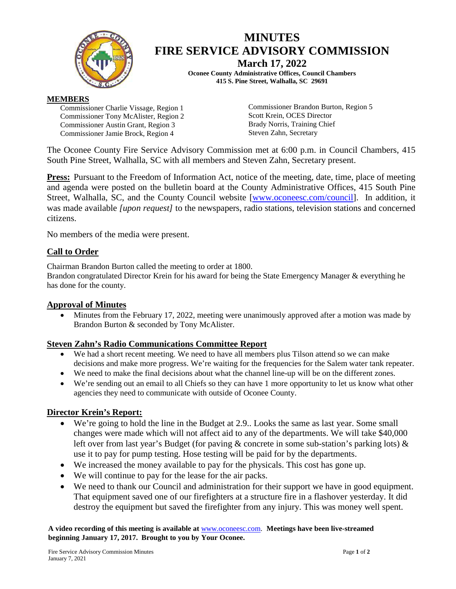

# **MINUTES FIRE SERVICE ADVISORY COMMISSION March 17, 2022**

**Oconee County Administrative Offices, Council Chambers 415 S. Pine Street, Walhalla, SC 29691**

#### **MEMBERS**

Commissioner Charlie Vissage, Region 1 Commissioner Tony McAlister, Region 2 Commissioner Austin Grant, Region 3 Commissioner Jamie Brock, Region 4

Commissioner Brandon Burton, Region 5 Scott Krein, OCES Director Brady Norris, Training Chief Steven Zahn, Secretary

The Oconee County Fire Service Advisory Commission met at 6:00 p.m. in Council Chambers, 415 South Pine Street, Walhalla, SC with all members and Steven Zahn, Secretary present.

**Press:** Pursuant to the Freedom of Information Act, notice of the meeting, date, time, place of meeting and agenda were posted on the bulletin board at the County Administrative Offices, 415 South Pine Street, Walhalla, SC, and the County Council website [\[www.oconeesc.com/council\]](http://www.oconeesc.com/council). In addition, it was made available *[upon request]* to the newspapers, radio stations, television stations and concerned citizens.

No members of the media were present.

## **Call to Order**

Chairman Brandon Burton called the meeting to order at 1800.

Brandon congratulated Director Krein for his award for being the State Emergency Manager & everything he has done for the county.

#### **Approval of Minutes**

• Minutes from the February 17, 2022, meeting were unanimously approved after a motion was made by Brandon Burton & seconded by Tony McAlister.

#### **Steven Zahn's Radio Communications Committee Report**

- We had a short recent meeting. We need to have all members plus Tilson attend so we can make decisions and make more progress. We're waiting for the frequencies for the Salem water tank repeater.
- We need to make the final decisions about what the channel line-up will be on the different zones.
- We're sending out an email to all Chiefs so they can have 1 more opportunity to let us know what other agencies they need to communicate with outside of Oconee County.

#### **Director Krein's Report:**

- We're going to hold the line in the Budget at 2.9.. Looks the same as last year. Some small changes were made which will not affect aid to any of the departments. We will take \$40,000 left over from last year's Budget (for paving  $\&$  concrete in some sub-station's parking lots)  $\&$ use it to pay for pump testing. Hose testing will be paid for by the departments.
- We increased the money available to pay for the physicals. This cost has gone up.
- We will continue to pay for the lease for the air packs.
- We need to thank our Council and administration for their support we have in good equipment. That equipment saved one of our firefighters at a structure fire in a flashover yesterday. It did destroy the equipment but saved the firefighter from any injury. This was money well spent.

**A video recording of this meeting is available at** [www.oconeesc.com.](http://www.oconeesc.com/) **Meetings have been live-streamed beginning January 17, 2017. Brought to you by Your Oconee.**